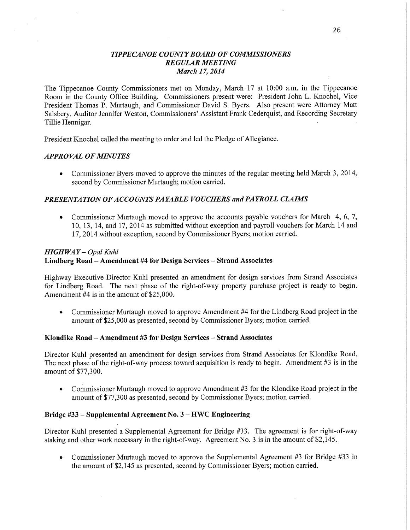### *TIPPE CANOE COUNTY BOARD* OF *COMMISSIONERS REGULAR MEETING March* 17, *2014*

The Tippecanoe County Commissioners met on Monday, March 17 at 10:00 am. in the Tippecanoe Room in the County Office Building. Commissioners present were: President John L. Knochel, Vice President Thomas P. Murtaugh, and Commissioner David S. Byers. Also present were Attorney Matt Salsbery, Auditor Jennifer Weston, Commissioners' Assistant Frank Cederquist, and Recording Secretary Tillie Hennigar.

**President Knochel** called the meeting to order and led the Pledge of Allegiance.

### *APPROVAL* OF *MINUTES*

**0** Commissioner Byers moved to approve the minutes of the regular meeting held March 3, 2014, second by Commissioner Murtaugh; motion carried.

## *PRESENTATION* OF *ACCOUNT S PAYABLE VOUCHERS* and *PAYROLL CLAIMS*

**0** Commissioner Murtaugh **moved** to approve the accounts payable vouchers for **March** 4, 6, 7, 10, 13, 14, and 17, 2014 as submitted without exception and payroll vouchers for March 14 and 17, 2014 without exception, **second** by Commissioner Byers; motion carried.

### *HIGH* WAY — *Opal Kuhl*

# **Lindberg Road — Amendment** #4 for **Design Services — Strand Associates**

Highway Executive Director Kuhl presented an amendment for design services from Strand Associates for Lindberg Road. The next phase of the right-of-way property purchase project is ready to begin. Amendment #4 is in the amount of \$25,000.

**0** Commissioner Murtaugh moved to approve **Amendment** #4 for the Lindberg Road **project** in the amount of \$25,000 as presented, second by **Commissioner** Byers; motion **carried.** 

#### **Klondike Road — Amendment** #3 for Design **Services** — **Strand Associates**

Director Kuhl presented an amendment for design services from Strand Associates for Klondike Road. The next phase of the right-of-way process toward acquisition is ready to begin. Amendment #3 is in the amount of \$77,300.

**0** Commissioner Murtaugh moved to approve Amendment #3 for the Klondike Road project in the amount of \$77,300 as presented, second by Commissioner Byers; motion **can'ied.** 

#### **Bridge** #33 — **Supplemental Agreement** No. 3 **—** HWC **Engineering**

Director Kuhl presented a Supplemental Agreement for Bridge #33. The agreement is for right-of-way staking and other work necessary in the right-of-way. Agreement No. 3 is in the amount of \$2,145.

**0** Commissioner Murtaugh moved to approve the Supplemental Agreement #3 for Bridge #33 in the amount of \$2,145 as presented, second by Commissioner Byers; motion carried.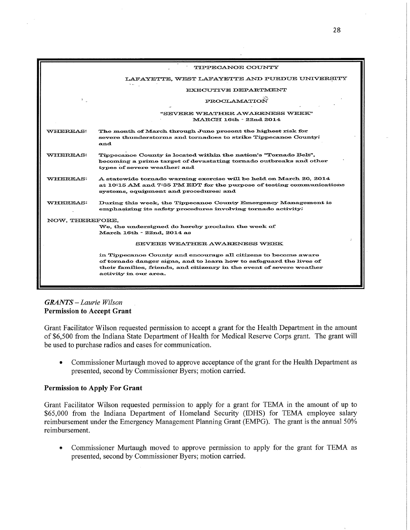

# *GRANTS* — *Laurie Wilson*  **Permission to Accept Grant**

Grant Facilitator Wilson requested permission **to** accept a grant **for the** Health Department **in the amount of** \$6,500 from **the** Indiana State Department **of** Health 'for Medical Reserve Corps grant. **The** grant will **be** used **to** purchase radios **and** cases **for** communication.

**0** Commissioner Murtaugh moved **to** approve acceptance **of the** grant **for the** Health Department **as**  presented, second **by Commissioner** Byers; motion carried.

# **Permission to Apply For Grant**

Grant Facilitator Wilson requested permission **to** apply **for** a grant **for TEMA in the** amount **of up to**  \$65,000 from **the** Indiana Department **of** Homeland Security **(lDHS) for TEMA** employee salary reimbursement under **the** Emergency Management Planning Grant (EMPG). **The** grant **is the** annual **50%**  reimbursement.

**0** Commissioner Murtaugh moved **to** approve permission **to** apply **for the** grant **for** TEMA **as**  presented, second **by** Commissioner Byers; motion **carried.**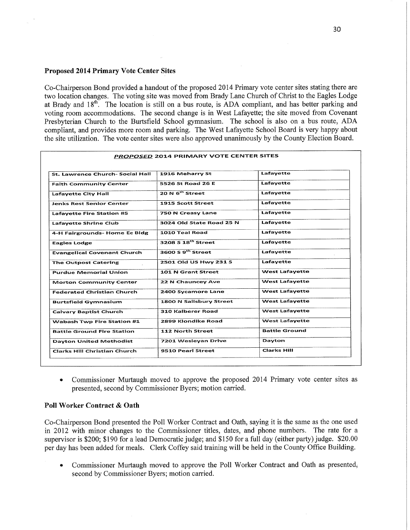#### **Proposed 2014 Primary Vote Center Sites**

Co-Chairperson Bond provided a handout of the proposed 2014 Primary vote center sites stating there are two location changes. The voting site was moved from Brady Lane Church of Christ to the Eagles Lodge at Brady and **18th.** The location is still on a bus route, is ADA compliant, and has better parking and voting room accommodations. The second change is in West Lafayette; the site **moved** from Covenant Presbyterian Church to the Burtsfield School gymnasium. The school is also on a bus route, ADA compliant, and provides more room and parking. The West Lafayette School Board is very happy about the site utilization. The vote center sites were also approved unanimously by the County Election Board.

|                                         | <b>PROPOSED 2014 PRIMARY VOTE CENTER SITES</b> |                       |
|-----------------------------------------|------------------------------------------------|-----------------------|
| <b>St. Lawrence Church- Social Hall</b> | 1916 Meharry St                                | Lafayette             |
| <b>Faith Community Center</b>           | 5526 St Road 26 E                              | Lafayette             |
| <b>Lafavette City Hall</b>              | 20 N <sup>th</sup> Street                      | Lafavette             |
| <b>Jenks Rest Senior Center</b>         | 1915 Scott Street                              | Lafayette             |
| <b>Lafavette Fire Station #5</b>        | 750 N Creasy Lane                              | Lafayette             |
| <b>Lafavette Shrine Club</b>            | 3024 Old State Road 25 N                       | Lafayette             |
| 4-H Fairgrounds- Home Ec Bldg           | 1010 Teal Road                                 | Lafayette             |
| <b>Eagles Lodge</b>                     | $3208S$ 18 <sup>th</sup> Street                | Lafayette             |
| <b>Evangelical Covenant Church</b>      | 3600 S 9 <sup>th</sup> Street                  | Lafavette             |
| <b>The Outpost Catering</b>             | 2501 Old US Hwy 231 S                          | Lafavette             |
| <b>Purdue Memorial Union</b>            | 101 N Grant Street                             | <b>West Lafayette</b> |
| <b>Morton Community Center</b>          | 22 N Chauncey Ave                              | <b>West Lafayette</b> |
| <b>Federated Christian Church</b>       | 2400 Sycamore Lane                             | <b>West Lafayette</b> |
| <b>Burtsfield Gymnasium</b>             | 1800 N Salisbury Street                        | <b>West Lafayette</b> |
| <b>Calvary Baptist Church</b>           | <b>310 Kalberer Road</b>                       | <b>West Lafavette</b> |
| <b>Wabash Twp Fire Station #1</b>       | 2899 Klondike Road                             | <b>West Lafayette</b> |
| <b>Battle Ground Fire Station</b>       | <b>112 North Street</b>                        | <b>Battle Ground</b>  |
| <b>Dayton United Methodist</b>          | 7201 Wesleyan Drive                            | Dayton                |
| <b>Clarks Hill Christian Church</b>     | 9510 Pearl Street                              | <b>Clarks Hill</b>    |

**0** Commissioner Murtaugh moved to approve the proposed 2014 **Primary** vote **center** sites as presented, second by **Commissioner** Byers; motion carried.

#### **Poll Worker Contract** & **Oath**

Co-Chairperson Bond presented the P011 Worker Contract and Oath, saying it is the same as the one used in 2012 with minor changes to the Commissioner titles, dates, and phone numbers. The rate for <sup>a</sup> supervisor is \$200; \$190 for a lead Democratic judge; and \$150 for a full day (either party) judge. \$20.00 per day has been added for meals. Clerk Coffey said training will be held in the County Office Building.

**0** Commissioner Murtaugh moved to approve the P011 Worker Contract and Oath as **presented;**  second by Commissioner Byers; motion carried.